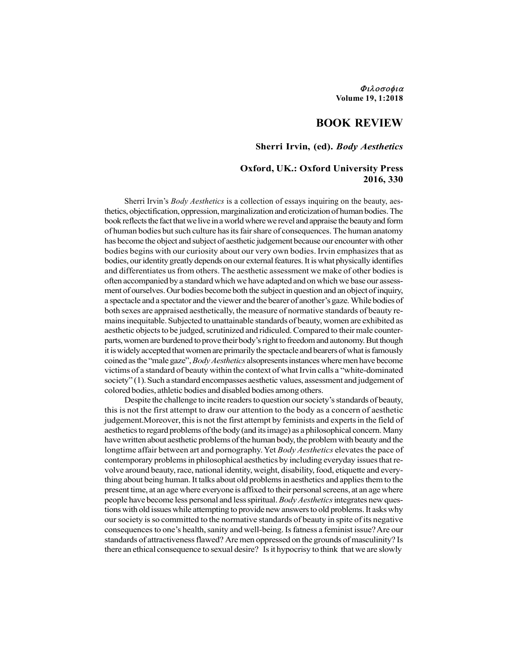Φιλοσοφια Volume 19, 1:2018

# BOOK REVIEW

# Sherri Irvin, (ed). Body Aesthetics

# Oxford, UK.: Oxford University Press 2016, 330

Sherri Irvin's *Body Aesthetics* is a collection of essays inquiring on the beauty, aesthetics, objectification, oppression, marginalization and eroticization of human bodies. The book reflects the fact that we live in a world where we revel and appraise the beauty and form of human bodies but such culture has its fair share of consequences. The human anatomy has become the object and subject of aesthetic judgement because our encounter with other bodies begins with our curiosity about our very own bodies. Irvin emphasizes that as bodies, our identity greatly depends on our external features. It is what physically identifies and differentiates us from others. The aesthetic assessment we make of other bodies is often accompanied by a standard which we have adapted and on which we base our assessment of ourselves. Our bodies become both the subject in question and an object of inquiry, a spectacle and a spectator and the viewer and the bearer of another's gaze. While bodies of both sexes are appraised aesthetically, the measure of normative standards of beauty remains inequitable. Subjected to unattainable standards of beauty, women are exhibited as aesthetic objects to be judged, scrutinized and ridiculed. Compared to their male counterparts, women are burdened to prove their body's right to freedom and autonomy. But though it is widely accepted that women are primarily the spectacle and bearers of what is famously coined as the "male gaze", Body Aesthetics alsopresents instances where men have become victims of a standard of beauty within the context of what Irvin calls a "white-dominated society" (1). Such a standard encompasses aesthetic values, assessment and judgement of colored bodies, athletic bodies and disabled bodies among others.

Despite the challenge to incite readers to question our society's standards of beauty, this is not the first attempt to draw our attention to the body as a concern of aesthetic judgement.Moreover, this is not the first attempt by feminists and experts in the field of aesthetics to regard problems of the body (and its image) as a philosophical concern. Many have written about aesthetic problems of the human body, the problem with beauty and the longtime affair between art and pornography. Yet Body Aesthetics elevates the pace of contemporary problems in philosophical aesthetics by including everyday issues that revolve around beauty, race, national identity, weight, disability, food, etiquette and everything about being human. It talks about old problems in aesthetics and applies them to the present time, at an age where everyone is affixed to their personal screens, at an age where people have become less personal and less spiritual. Body Aesthetics integrates new questions with old issues while attempting to provide new answers to old problems. It asks why our society is so committed to the normative standards of beauty in spite of its negative consequences to one's health, sanity and well-being. Is fatness a feminist issue? Are our standards of attractiveness flawed? Are men oppressed on the grounds of masculinity? Is there an ethical consequence to sexual desire? Is it hypocrisy to think that we are slowly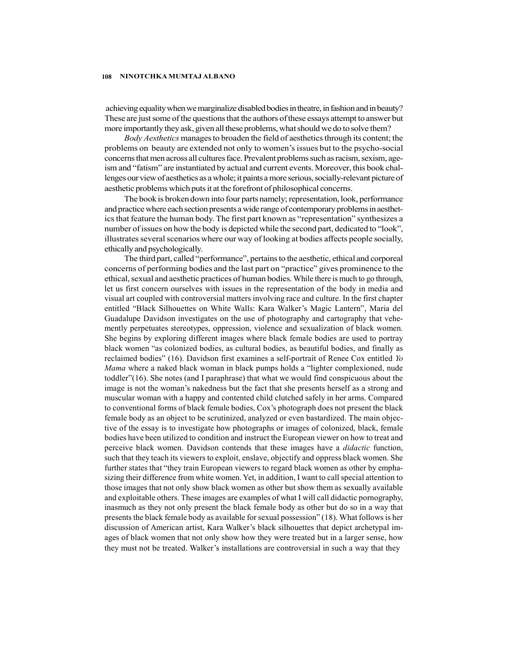achieving equality when we marginalize disabled bodies in theatre, in fashion and in beauty? These are just some of the questions that the authors of these essays attempt to answer but more importantly they ask, given all these problems, what should we do to solve them?

Body Aesthetics manages to broaden the field of aesthetics through its content; the problems on beauty are extended not only to women's issues but to the psycho-social concerns that men across all cultures face. Prevalent problems such as racism, sexism, ageism and "fatism" are instantiated by actual and current events. Moreover, this book challenges our view of aesthetics as a whole; it paints a more serious, socially-relevant picture of aesthetic problems which puts it at the forefront of philosophical concerns.

The book is broken down into four parts namely; representation, look, performance and practice where each section presents a wide range of contemporary problems in aesthetics that feature the human body. The first part known as "representation" synthesizes a number of issues on how the body is depicted while the second part, dedicated to "look", illustrates several scenarios where our way of looking at bodies affects people socially, ethically and psychologically.

The third part, called "performance", pertains to the aesthetic, ethical and corporeal concerns of performing bodies and the last part on "practice" gives prominence to the ethical, sexual and aesthetic practices of human bodies. While there is much to go through, let us first concern ourselves with issues in the representation of the body in media and visual art coupled with controversial matters involving race and culture. In the first chapter entitled "Black Silhouettes on White Walls: Kara Walker's Magic Lantern", Maria del Guadalupe Davidson investigates on the use of photography and cartography that vehemently perpetuates stereotypes, oppression, violence and sexualization of black women. She begins by exploring different images where black female bodies are used to portray black women "as colonized bodies, as cultural bodies, as beautiful bodies, and finally as reclaimed bodies" (16). Davidson first examines a self-portrait of Renee Cox entitled Yo Mama where a naked black woman in black pumps holds a "lighter complexioned, nude toddler"(16). She notes (and I paraphrase) that what we would find conspicuous about the image is not the woman's nakedness but the fact that she presents herself as a strong and muscular woman with a happy and contented child clutched safely in her arms. Compared to conventional forms of black female bodies, Cox's photograph does not present the black female body as an object to be scrutinized, analyzed or even bastardized. The main objective of the essay is to investigate how photographs or images of colonized, black, female bodies have been utilized to condition and instruct the European viewer on how to treat and perceive black women. Davidson contends that these images have a *didactic* function, such that they teach its viewers to exploit, enslave, objectify and oppress black women. She further states that "they train European viewers to regard black women as other by emphasizing their difference from white women. Yet, in addition, I want to call special attention to those images that not only show black women as other but show them as sexually available and exploitable others. These images are examples of what I will call didactic pornography, inasmuch as they not only present the black female body as other but do so in a way that presents the black female body as available for sexual possession" (18). What follows is her discussion of American artist, Kara Walker's black silhouettes that depict archetypal images of black women that not only show how they were treated but in a larger sense, how they must not be treated. Walker's installations are controversial in such a way that they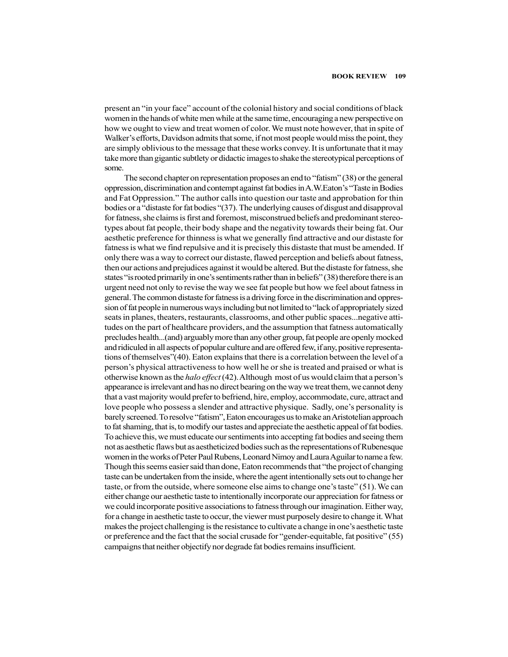present an "in your face" account of the colonial history and social conditions of black women in the hands of white men while at the same time, encouraging a new perspective on how we ought to view and treat women of color. We must note however, that in spite of Walker's efforts, Davidson admits that some, if not most people would miss the point, they are simply oblivious to the message that these works convey. It is unfortunate that it may take more than gigantic subtlety or didactic images to shake the stereotypical perceptions of some.

The second chapter on representation proposes an end to "fatism" (38) or the general oppression, discrimination and contempt against fat bodies in A.W.Eaton's "Taste in Bodies and Fat Oppression." The author calls into question our taste and approbation for thin bodies or a "distaste for fat bodies "(37). The underlying causes of disgust and disapproval for fatness, she claims is first and foremost, misconstrued beliefs and predominant stereotypes about fat people, their body shape and the negativity towards their being fat. Our aesthetic preference for thinness is what we generally find attractive and our distaste for fatness is what we find repulsive and it is precisely this distaste that must be amended. If only there was a way to correct our distaste, flawed perception and beliefs about fatness, then our actions and prejudices against it would be altered. But the distaste for fatness, she states "is rooted primarily in one's sentiments rather than in beliefs" (38) therefore there is an urgent need not only to revise the way we see fat people but how we feel about fatness in general. The common distaste for fatness is a driving force in the discrimination and oppression of fat people in numerous ways including but not limited to "lack of appropriately sized seats in planes, theaters, restaurants, classrooms, and other public spaces...negative attitudes on the part of healthcare providers, and the assumption that fatness automatically precludes health...(and) arguably more than any other group, fat people are openly mocked and ridiculed in all aspects of popular culture and are offered few, if any, positive representations of themselves"(40). Eaton explains that there is a correlation between the level of a person's physical attractiveness to how well he or she is treated and praised or what is otherwise known as the *halo effect* (42). Although most of us would claim that a person's appearance is irrelevant and has no direct bearing on the way we treat them, we cannot deny that a vast majority would prefer to befriend, hire, employ, accommodate, cure, attract and love people who possess a slender and attractive physique. Sadly, one's personality is barely screened. To resolve "fatism", Eaton encourages us to make an Aristotelian approach to fat shaming, that is, to modify our tastes and appreciate the aesthetic appeal of fat bodies. To achieve this, we must educate our sentiments into accepting fat bodies and seeing them not as aesthetic flaws but as aestheticized bodies such as the representations of Rubenesque women in the works of Peter Paul Rubens, Leonard Nimoy and Laura Aguilar to name a few. Though this seems easier said than done, Eaton recommends that "the project of changing taste can be undertaken from the inside, where the agent intentionally sets out to change her taste, or from the outside, where someone else aims to change one's taste" (51). We can either change our aesthetic taste to intentionally incorporate our appreciation for fatness or we could incorporate positive associations to fatness through our imagination. Either way, for a change in aesthetic taste to occur, the viewer must purposely desire to change it. What makes the project challenging is the resistance to cultivate a change in one's aesthetic taste or preference and the fact that the social crusade for "gender-equitable, fat positive" (55) campaigns that neither objectify nor degrade fat bodies remains insufficient.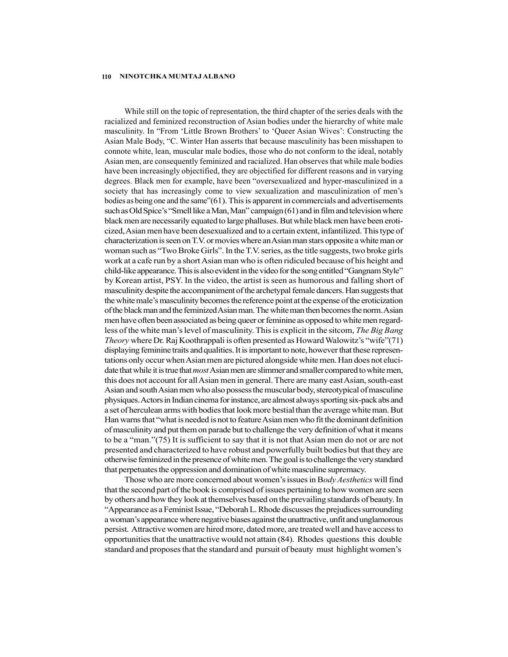While still on the topic of representation, the third chapter of the series deals with the racialized and feminized reconstruction of Asian bodies under the hierarchy of white male masculinity. In "From 'Little Brown Brothers' to 'Queer Asian Wives': Constructing the Asian Male Body, "C. Winter Han asserts that because masculinity has been misshapen to connote white, lean, muscular male bodies, those who do not conform to the ideal, notably Asian men, are consequently feminized and racialized. Han observes that while male bodies have been increasingly objectified, they are objectified for different reasons and in varying degrees. Black men for example, have been "oversexualized and hyper-masculinized in a society that has increasingly come to view sexualization and masculinization of men's bodies as being one and the same"(61). This is apparent in commercials and advertisements such as Old Spice's "Smell like a Man, Man" campaign (61) and in film and television where black men are necessarily equated to large phalluses. But while black men have been eroticized, Asian men have been desexualized and to a certain extent, infantilized. This type of characterization is seen on T.V. or movies where an Asian man stars opposite a white man or woman such as "Two Broke Girls". In the T.V. series, as the title suggests, two broke girls work at a cafe run by a short Asian man who is often ridiculed because of his height and child-like appearance. This is also evident in the video for the song entitled "Gangnam Style" by Korean artist, PSY. In the video, the artist is seen as humorous and falling short of masculinity despite the accompaniment of the archetypal female dancers. Han suggests that the white male's masculinity becomes the reference point at the expense of the eroticization of the black man and the feminized Asian man. The white man then becomes the norm. Asian men have often been associated as being queer or feminine as opposed to white men regardless of the white man's level of masculinity. This is explicit in the sitcom, *The Big Bang* Theory where Dr. Raj Koothrappali is often presented as Howard Walowitz's "wife"(71) displaying feminine traits and qualities. It is important to note, however that these representations only occur when Asian men are pictured alongside white men. Han does not elucidate that while it is true that *most* Asian men are slimmer and smaller compared to white men, this does not account for all Asian men in general. There are many east Asian, south-east Asian and south Asian men who also possess the muscular body, stereotypical of masculine physiques. Actors in Indian cinema for instance, are almost always sporting six-pack abs and a set of herculean arms with bodies that look more bestial than the average white man. But Han warns that "what is needed is not to feature Asian men who fit the dominant definition of masculinity and put them on parade but to challenge the very definition of what it means to be a "man."(75) It is sufficient to say that it is not that Asian men do not or are not presented and characterized to have robust and powerfully built bodies but that they are otherwise feminized in the presence of white men. The goal is to challenge the very standard that perpetuates the oppression and domination of white masculine supremacy.

Those who are more concerned about women's issues in Body Aesthetics will find that the second part of the book is comprised of issues pertaining to how women are seen by others and how they look at themselves based on the prevailing standards of beauty. In "Appearance as a Feminist Issue, "Deborah L. Rhode discusses the prejudices surrounding a woman's appearance where negative biases against the unattractive, unfit and unglamorous persist. Attractive women are hired more, dated more, are treated well and have access to opportunities that the unattractive would not attain (84). Rhodes questions this double standard and proposes that the standard and pursuit of beauty must highlight women's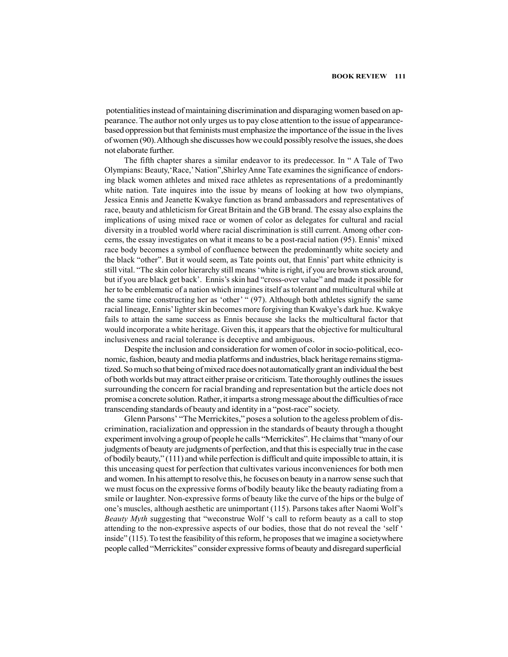potentialities instead of maintaining discrimination and disparaging women based on appearance. The author not only urges us to pay close attention to the issue of appearancebased oppression but that feminists must emphasize the importance of the issue in the lives of women (90). Although she discusses how we could possibly resolve the issues, she does not elaborate further.

The fifth chapter shares a similar endeavor to its predecessor. In " A Tale of Two Olympians: Beauty,'Race,' Nation",Shirley Anne Tate examines the significance of endorsing black women athletes and mixed race athletes as representations of a predominantly white nation. Tate inquires into the issue by means of looking at how two olympians, Jessica Ennis and Jeanette Kwakye function as brand ambassadors and representatives of race, beauty and athleticism for Great Britain and the GB brand. The essay also explains the implications of using mixed race or women of color as delegates for cultural and racial diversity in a troubled world where racial discrimination is still current. Among other concerns, the essay investigates on what it means to be a post-racial nation (95). Ennis' mixed race body becomes a symbol of confluence between the predominantly white society and the black "other". But it would seem, as Tate points out, that Ennis' part white ethnicity is still vital. "The skin color hierarchy still means 'white is right, if you are brown stick around, but if you are black get back'. Ennis's skin had "cross-over value" and made it possible for her to be emblematic of a nation which imagines itself as tolerant and multicultural while at the same time constructing her as 'other' " (97). Although both athletes signify the same racial lineage, Ennis' lighter skin becomes more forgiving than Kwakye's dark hue. Kwakye fails to attain the same success as Ennis because she lacks the multicultural factor that would incorporate a white heritage. Given this, it appears that the objective for multicultural inclusiveness and racial tolerance is deceptive and ambiguous.

Despite the inclusion and consideration for women of color in socio-political, economic, fashion, beauty and media platforms and industries, black heritage remains stigmatized. So much so that being of mixed race does not automatically grant an individual the best of both worlds but may attract either praise or criticism. Tate thoroughly outlines the issues surrounding the concern for racial branding and representation but the article does not promise a concrete solution. Rather, it imparts a strong message about the difficulties of race transcending standards of beauty and identity in a "post-race" society.

Glenn Parsons' "The Merrickites," poses a solution to the ageless problem of discrimination, racialization and oppression in the standards of beauty through a thought experiment involving a group of people he calls "Merrickites". He claims that "many of our judgments of beauty are judgments of perfection, and that this is especially true in the case of bodily beauty," (111) and while perfection is difficult and quite impossible to attain, it is this unceasing quest for perfection that cultivates various inconveniences for both men and women. In his attempt to resolve this, he focuses on beauty in a narrow sense such that we must focus on the expressive forms of bodily beauty like the beauty radiating from a smile or laughter. Non-expressive forms of beauty like the curve of the hips or the bulge of one's muscles, although aesthetic are unimportant (115). Parsons takes after Naomi Wolf's Beauty Myth suggesting that "weconstrue Wolf 's call to reform beauty as a call to stop attending to the non-expressive aspects of our bodies, those that do not reveal the 'self ' inside" (115). To test the feasibility of this reform, he proposes that we imagine a societywhere people called "Merrickites" consider expressive forms of beauty and disregard superficial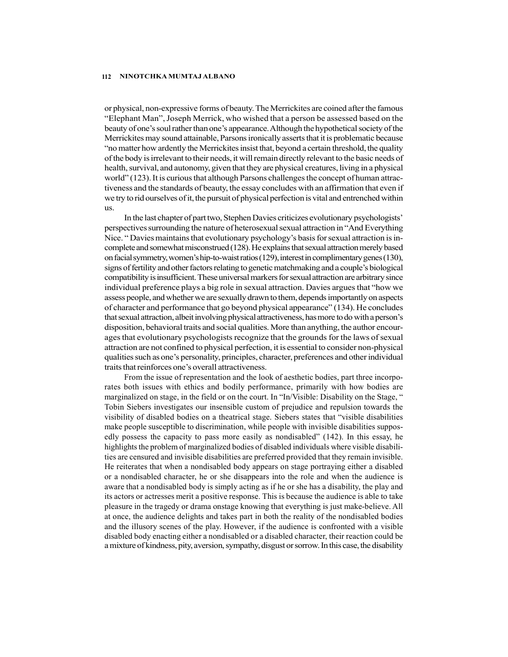or physical, non-expressive forms of beauty. The Merrickites are coined after the famous "Elephant Man", Joseph Merrick, who wished that a person be assessed based on the beauty of one's soul rather than one's appearance. Although the hypothetical society of the Merrickites may sound attainable, Parsons ironically asserts that it is problematic because "no matter how ardently the Merrickites insist that, beyond a certain threshold, the quality of the body is irrelevant to their needs, it will remain directly relevant to the basic needs of health, survival, and autonomy, given that they are physical creatures, living in a physical world" (123). It is curious that although Parsons challenges the concept of human attractiveness and the standards of beauty, the essay concludes with an affirmation that even if we try to rid ourselves of it, the pursuit of physical perfection is vital and entrenched within us.

In the last chapter of part two, Stephen Davies criticizes evolutionary psychologists' perspectives surrounding the nature of heterosexual sexual attraction in "And Everything Nice. " Davies maintains that evolutionary psychology's basis for sexual attraction is incomplete and somewhat misconstrued (128). He explains that sexual attraction merely based on facial symmetry, women's hip-to-waist ratios (129), interest in complimentary genes (130), signs of fertility and other factors relating to genetic matchmaking and a couple's biological compatibility is insufficient. These universal markers for sexual attraction are arbitrary since individual preference plays a big role in sexual attraction. Davies argues that "how we assess people, and whether we are sexually drawn to them, depends importantly on aspects of character and performance that go beyond physical appearance" (134). He concludes that sexual attraction, albeit involving physical attractiveness, has more to do with a person's disposition, behavioral traits and social qualities. More than anything, the author encourages that evolutionary psychologists recognize that the grounds for the laws of sexual attraction are not confined to physical perfection, it is essential to consider non-physical qualities such as one's personality, principles, character, preferences and other individual traits that reinforces one's overall attractiveness.

From the issue of representation and the look of aesthetic bodies, part three incorporates both issues with ethics and bodily performance, primarily with how bodies are marginalized on stage, in the field or on the court. In "In/Visible: Disability on the Stage, " Tobin Siebers investigates our insensible custom of prejudice and repulsion towards the visibility of disabled bodies on a theatrical stage. Siebers states that "visible disabilities make people susceptible to discrimination, while people with invisible disabilities supposedly possess the capacity to pass more easily as nondisabled" (142). In this essay, he highlights the problem of marginalized bodies of disabled individuals where visible disabilities are censured and invisible disabilities are preferred provided that they remain invisible. He reiterates that when a nondisabled body appears on stage portraying either a disabled or a nondisabled character, he or she disappears into the role and when the audience is aware that a nondisabled body is simply acting as if he or she has a disability, the play and its actors or actresses merit a positive response. This is because the audience is able to take pleasure in the tragedy or drama onstage knowing that everything is just make-believe. All at once, the audience delights and takes part in both the reality of the nondisabled bodies and the illusory scenes of the play. However, if the audience is confronted with a visible disabled body enacting either a nondisabled or a disabled character, their reaction could be a mixture of kindness, pity, aversion, sympathy, disgust or sorrow. In this case, the disability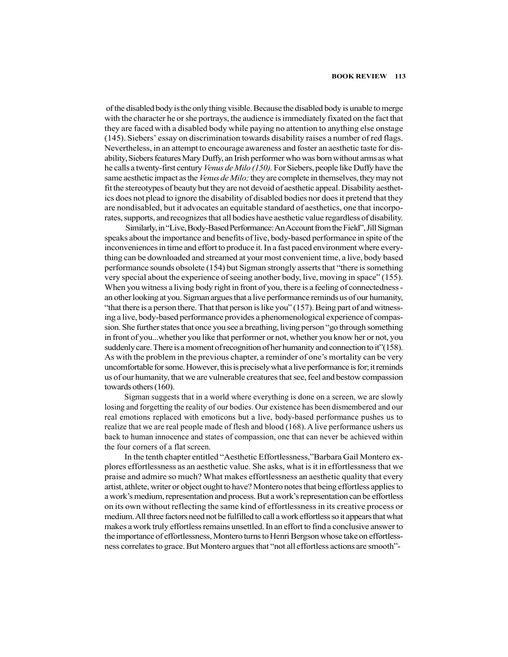of the disabled body is the only thing visible. Because the disabled body is unable to merge with the character he or she portrays, the audience is immediately fixated on the fact that they are faced with a disabled body while paying no attention to anything else onstage (145). Siebers' essay on discrimination towards disability raises a number of red flags. Nevertheless, in an attempt to encourage awareness and foster an aesthetic taste for disability, Siebers features Mary Duffy, an Irish performer who was born without arms as what he calls a twenty-first century *Venus de Milo (150)*. For Siebers, people like Duffy have the same aesthetic impact as the *Venus de Milo*; they are complete in themselves, they may not fit the stereotypes of beauty but they are not devoid of aesthetic appeal. Disability aesthetics does not plead to ignore the disability of disabled bodies nor does it pretend that they are nondisabled, but it advocates an equitable standard of aesthetics, one that incorporates, supports, and recognizes that all bodies have aesthetic value regardless of disability.

 Similarly, in "Live, Body-Based Performance: An Account from the Field", Jill Sigman speaks about the importance and benefits of live, body-based performance in spite of the inconveniences in time and effort to produce it. In a fast paced environment where everything can be downloaded and streamed at your most convenient time, a live, body based performance sounds obsolete (154) but Sigman strongly asserts that "there is something very special about the experience of seeing another body, live, moving in space" (155). When you witness a living body right in front of you, there is a feeling of connectedness an other looking at you. Sigman argues that a live performance reminds us of our humanity, "that there is a person there. That that person is like you" (157). Being part of and witnessing a live, body-based performance provides a phenomenological experience of compassion. She further states that once you see a breathing, living person "go through something in front of you...whether you like that performer or not, whether you know her or not, you suddenly care. There is a moment of recognition of her humanity and connection to it"(158). As with the problem in the previous chapter, a reminder of one's mortality can be very uncomfortable for some. However, this is precisely what a live performance is for; it reminds us of our humanity, that we are vulnerable creatures that see, feel and bestow compassion towards others (160).

Sigman suggests that in a world where everything is done on a screen, we are slowly losing and forgetting the reality of our bodies. Our existence has been dismembered and our real emotions replaced with emoticons but a live, body-based performance pushes us to realize that we are real people made of flesh and blood (168). A live performance ushers us back to human innocence and states of compassion, one that can never be achieved within the four corners of a flat screen.

In the tenth chapter entitled "Aesthetic Effortlessness,"Barbara Gail Montero explores effortlessness as an aesthetic value. She asks, what is it in effortlessness that we praise and admire so much? What makes effortlessness an aesthetic quality that every artist, athlete, writer or object ought to have? Montero notes that being effortless applies to a work's medium, representation and process. But a work's representation can be effortless on its own without reflecting the same kind of effortlessness in its creative process or medium. All three factors need not be fulfilled to call a work effortless so it appears that what makes a work truly effortless remains unsettled. In an effort to find a conclusive answer to the importance of effortlessness, Montero turns to Henri Bergson whose take on effortlessness correlates to grace. But Montero argues that "not all effortless actions are smooth"-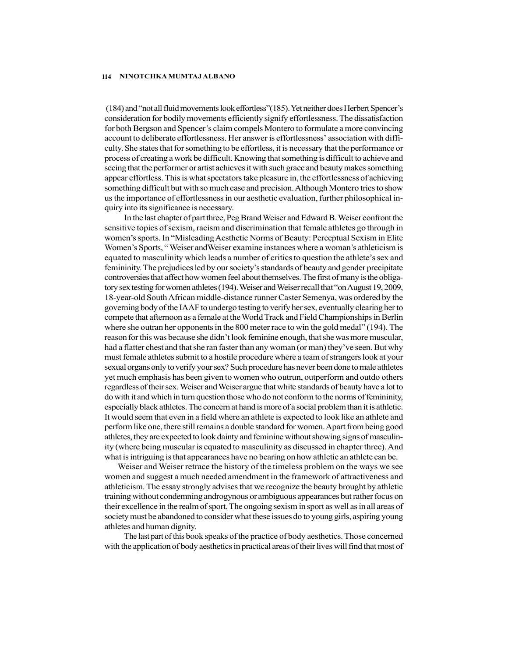(184) and "not all fluid movements look effortless"(185). Yet neither does Herbert Spencer's consideration for bodily movements efficiently signify effortlessness. The dissatisfaction for both Bergson and Spencer's claim compels Montero to formulate a more convincing account to deliberate effortlessness. Her answer is effortlessness' association with difficulty. She states that for something to be effortless, it is necessary that the performance or process of creating a work be difficult. Knowing that something is difficult to achieve and seeing that the performer or artist achieves it with such grace and beauty makes something appear effortless. This is what spectators take pleasure in, the effortlessness of achieving something difficult but with so much ease and precision. Although Montero tries to show us the importance of effortlessness in our aesthetic evaluation, further philosophical inquiry into its significance is necessary.

In the last chapter of part three, Peg Brand Weiser and Edward B. Weiser confront the sensitive topics of sexism, racism and discrimination that female athletes go through in women's sports. In "Misleading Aesthetic Norms of Beauty: Perceptual Sexism in Elite Women's Sports, " Weiser andWeiser examine instances where a woman's athleticism is equated to masculinity which leads a number of critics to question the athlete's sex and femininity. The prejudices led by our society's standards of beauty and gender precipitate controversies that affect how women feel about themselves. The first of many is the obligatory sex testing for women athletes (194). Weiser and Weiser recall that "on August 19, 2009, 18-year-old South African middle-distance runner Caster Semenya, was ordered by the governing body of the IAAF to undergo testing to verify her sex, eventually clearing her to compete that afternoon as a female at the World Track and Field Championships in Berlin where she outran her opponents in the 800 meter race to win the gold medal" (194). The reason for this was because she didn't look feminine enough, that she was more muscular, had a flatter chest and that she ran faster than any woman (or man) they've seen. But why must female athletes submit to a hostile procedure where a team of strangers look at your sexual organs only to verify your sex? Such procedure has never been done to male athletes yet much emphasis has been given to women who outrun, outperform and outdo others regardless of their sex. Weiser and Weiser argue that white standards of beauty have a lot to do with it and which in turn question those who do not conform to the norms of femininity, especially black athletes. The concern at hand is more of a social problem than it is athletic. It would seem that even in a field where an athlete is expected to look like an athlete and perform like one, there still remains a double standard for women. Apart from being good athletes, they are expected to look dainty and feminine without showing signs of masculinity (where being muscular is equated to masculinity as discussed in chapter three). And what is intriguing is that appearances have no bearing on how athletic an athlete can be.

 Weiser and Weiser retrace the history of the timeless problem on the ways we see women and suggest a much needed amendment in the framework of attractiveness and athleticism. The essay strongly advises that we recognize the beauty brought by athletic training without condemning androgynous or ambiguous appearances but rather focus on their excellence in the realm of sport. The ongoing sexism in sport as well as in all areas of society must be abandoned to consider what these issues do to young girls, aspiring young athletes and human dignity.

The last part of this book speaks of the practice of body aesthetics. Those concerned with the application of body aesthetics in practical areas of their lives will find that most of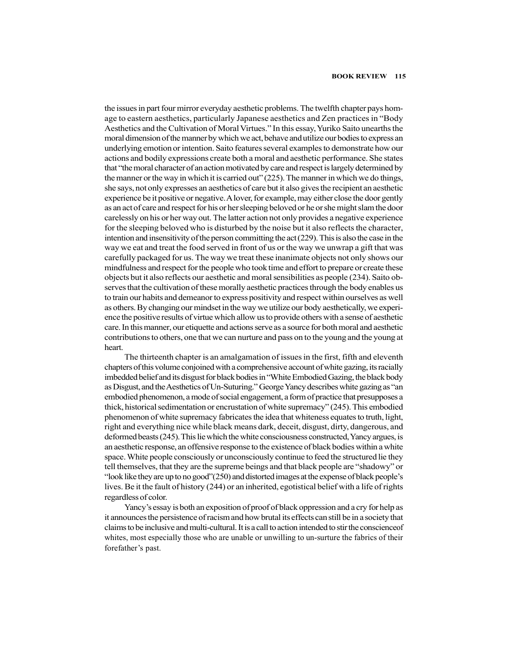the issues in part four mirror everyday aesthetic problems. The twelfth chapter pays homage to eastern aesthetics, particularly Japanese aesthetics and Zen practices in "Body Aesthetics and the Cultivation of Moral Virtues." In this essay, Yuriko Saito unearths the moral dimension of the manner by which we act, behave and utilize our bodies to express an underlying emotion or intention. Saito features several examples to demonstrate how our actions and bodily expressions create both a moral and aesthetic performance. She states that "the moral character of an action motivated by care and respect is largely determined by the manner or the way in which it is carried out" (225). The manner in which we do things, she says, not only expresses an aesthetics of care but it also gives the recipient an aesthetic experience be it positive or negative. A lover, for example, may either close the door gently as an act of care and respect for his or her sleeping beloved or he or she might slam the door carelessly on his or her way out. The latter action not only provides a negative experience for the sleeping beloved who is disturbed by the noise but it also reflects the character, intention and insensitivity of the person committing the act (229). This is also the case in the way we eat and treat the food served in front of us or the way we unwrap a gift that was carefully packaged for us. The way we treat these inanimate objects not only shows our mindfulness and respect for the people who took time and effort to prepare or create these objects but it also reflects our aesthetic and moral sensibilities as people (234). Saito observes that the cultivation of these morally aesthetic practices through the body enables us to train our habits and demeanor to express positivity and respect within ourselves as well as others. By changing our mindset in the way we utilize our body aesthetically, we experience the positive results of virtue which allow us to provide others with a sense of aesthetic care. In this manner, our etiquette and actions serve as a source for both moral and aesthetic contributions to others, one that we can nurture and pass on to the young and the young at heart.

The thirteenth chapter is an amalgamation of issues in the first, fifth and eleventh chapters of this volume conjoined with a comprehensive account of white gazing, its racially imbedded belief and its disgust for black bodies in "White Embodied Gazing, the black body as Disgust, and the Aesthetics of Un-Suturing." George Yancy describes white gazing as "an embodied phenomenon, a mode of social engagement, a form of practice that presupposes a thick, historical sedimentation or encrustation of white supremacy" (245). This embodied phenomenon of white supremacy fabricates the idea that whiteness equates to truth, light, right and everything nice while black means dark, deceit, disgust, dirty, dangerous, and deformed beasts (245). This lie which the white consciousness constructed, Yancy argues, is an aesthetic response, an offensive response to the existence of black bodies within a white space. White people consciously or unconsciously continue to feed the structured lie they tell themselves, that they are the supreme beings and that black people are "shadowy" or "look like they are up to no good"(250) and distorted images at the expense of black people's lives. Be it the fault of history (244) or an inherited, egotistical belief with a life of rights regardless of color.

Yancy's essay is both an exposition of proof of black oppression and a cry for help as it announces the persistence of racism and how brutal its effects can still be in a society that claims to be inclusive and multi-cultural. It is a call to action intended to stir the conscienceof whites, most especially those who are unable or unwilling to un-surture the fabrics of their forefather's past.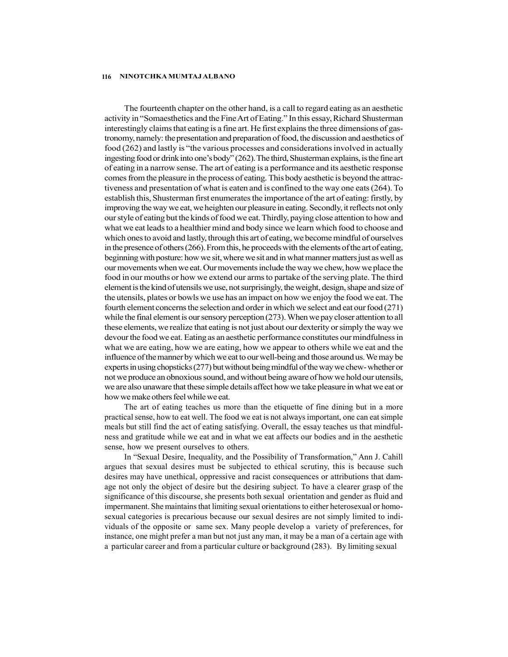The fourteenth chapter on the other hand, is a call to regard eating as an aesthetic activity in "Somaesthetics and the Fine Art of Eating." In this essay, Richard Shusterman interestingly claims that eating is a fine art. He first explains the three dimensions of gastronomy, namely: the presentation and preparation of food, the discussion and aesthetics of food (262) and lastly is "the various processes and considerations involved in actually ingesting food or drink into one's body" (262). The third, Shusterman explains, is the fine art of eating in a narrow sense. The art of eating is a performance and its aesthetic response comes from the pleasure in the process of eating. This body aesthetic is beyond the attractiveness and presentation of what is eaten and is confined to the way one eats (264). To establish this, Shusterman first enumerates the importance of the art of eating: firstly, by improving the way we eat, we heighten our pleasure in eating. Secondly, it reflects not only our style of eating but the kinds of food we eat. Thirdly, paying close attention to how and what we eat leads to a healthier mind and body since we learn which food to choose and which ones to avoid and lastly, through this art of eating, we become mindful of ourselves in the presence of others (266). From this, he proceeds with the elements of the art of eating, beginning with posture: how we sit, where we sit and in what manner matters just as well as our movements when we eat. Our movements include the way we chew, how we place the food in our mouths or how we extend our arms to partake of the serving plate. The third element is the kind of utensils we use, not surprisingly, the weight, design, shape and size of the utensils, plates or bowls we use has an impact on how we enjoy the food we eat. The fourth element concerns the selection and order in which we select and eat our food (271) while the final element is our sensory perception (273). When we pay closer attention to all these elements, we realize that eating is not just about our dexterity or simply the way we devour the food we eat. Eating as an aesthetic performance constitutes our mindfulness in what we are eating, how we are eating, how we appear to others while we eat and the influence of the manner by which we eat to our well-being and those around us. We may be experts in using chopsticks (277) but without being mindful of the way we chew- whether or not we produce an obnoxious sound, and without being aware of how we hold our utensils, we are also unaware that these simple details affect how we take pleasure in what we eat or how we make others feel while we eat.

The art of eating teaches us more than the etiquette of fine dining but in a more practical sense, how to eat well. The food we eat is not always important, one can eat simple meals but still find the act of eating satisfying. Overall, the essay teaches us that mindfulness and gratitude while we eat and in what we eat affects our bodies and in the aesthetic sense, how we present ourselves to others.

In "Sexual Desire, Inequality, and the Possibility of Transformation," Ann J. Cahill argues that sexual desires must be subjected to ethical scrutiny, this is because such desires may have unethical, oppressive and racist consequences or attributions that damage not only the object of desire but the desiring subject. To have a clearer grasp of the significance of this discourse, she presents both sexual orientation and gender as fluid and impermanent. She maintains that limiting sexual orientations to either heterosexual or homosexual categories is precarious because our sexual desires are not simply limited to individuals of the opposite or same sex. Many people develop a variety of preferences, for instance, one might prefer a man but not just any man, it may be a man of a certain age with a particular career and from a particular culture or background (283). By limiting sexual